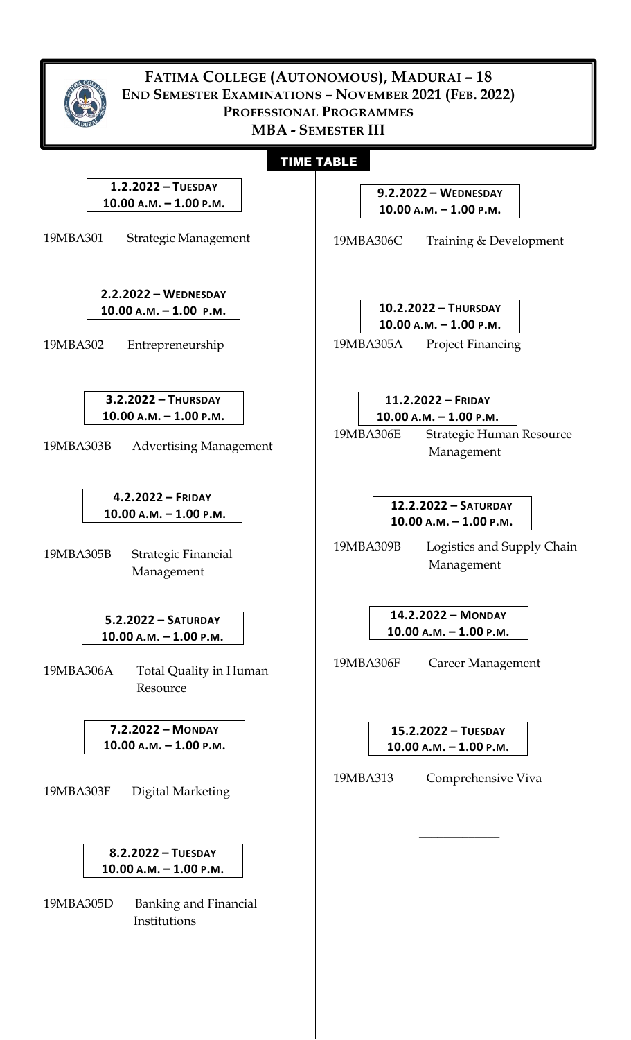| FATIMA COLLEGE (AUTONOMOUS), MADURAI - 18<br>END SEMESTER EXAMINATIONS - NOVEMBER 2021 (FEB. 2022)<br>PROFESSIONAL PROGRAMMES<br><b>MBA - SEMESTER III</b> |                                                                                                         |
|------------------------------------------------------------------------------------------------------------------------------------------------------------|---------------------------------------------------------------------------------------------------------|
| <b>TIME TABLE</b>                                                                                                                                          |                                                                                                         |
| 1.2.2022 - TUESDAY                                                                                                                                         | $9.2.2022 - \text{WEDNESDAY}$                                                                           |
| 10.00 A.M. - 1.00 P.M.                                                                                                                                     | $10.00 A.M. - 1.00 P.M.$                                                                                |
| 19MBA301                                                                                                                                                   | 19MBA306C                                                                                               |
| Strategic Management                                                                                                                                       | Training & Development                                                                                  |
| $2.2.2022 - \text{WEDNESDAY}$                                                                                                                              | 10.2.2022 - THURSDAY                                                                                    |
| $10.00 A.M. - 1.00 P.M.$                                                                                                                                   | $10.00$ A.M. $- 1.00$ P.M.                                                                              |
| Entrepreneurship                                                                                                                                           | 19MBA305A                                                                                               |
| 19MBA302                                                                                                                                                   | <b>Project Financing</b>                                                                                |
| $3.2.2022 - ThURSDAY$<br>$10.00 A.M. - 1.00 P.M.$<br>19MBA303B<br><b>Advertising Management</b>                                                            | 11.2.2022 - FRIDAY<br>$10.00$ A.M. $- 1.00$ P.M.<br>19MBA306E<br>Strategic Human Resource<br>Management |
| $4.2.2022 -$ FRIDAY                                                                                                                                        | 12.2.2022 - SATURDAY                                                                                    |
| 10.00 A.M. - 1.00 P.M.                                                                                                                                     | 10.00 А.М. — 1.00 Р.М.                                                                                  |
| 19MBA305B                                                                                                                                                  | 19MBA309B                                                                                               |
| Strategic Financial                                                                                                                                        | Logistics and Supply Chain                                                                              |
| Management                                                                                                                                                 | Management                                                                                              |
| $5.2.2022 - SATURDAY$<br>$10.00$ A.M. $- 1.00$ P.M.<br>19MBA306A<br>Total Quality in Human<br>Resource                                                     | 14.2.2022 - MONDAY<br>$10.00$ A.M. $- 1.00$ P.M.<br>19MBA306F<br>Career Management                      |
| 7.2.2022 - MONDAY                                                                                                                                          | 15.2.2022 - TUESDAY                                                                                     |
| $10.00$ A.M. $- 1.00$ P.M.                                                                                                                                 | 10.00 A.M. - 1.00 P.M.                                                                                  |
| 19MBA303F                                                                                                                                                  | 19MBA313                                                                                                |
| Digital Marketing                                                                                                                                          | Comprehensive Viva                                                                                      |
| 8.2.2022 - TUESDAY<br>10.00 A.M. - 1.00 P.M.<br>19MBA305D<br><b>Banking and Financial</b><br>Institutions                                                  |                                                                                                         |